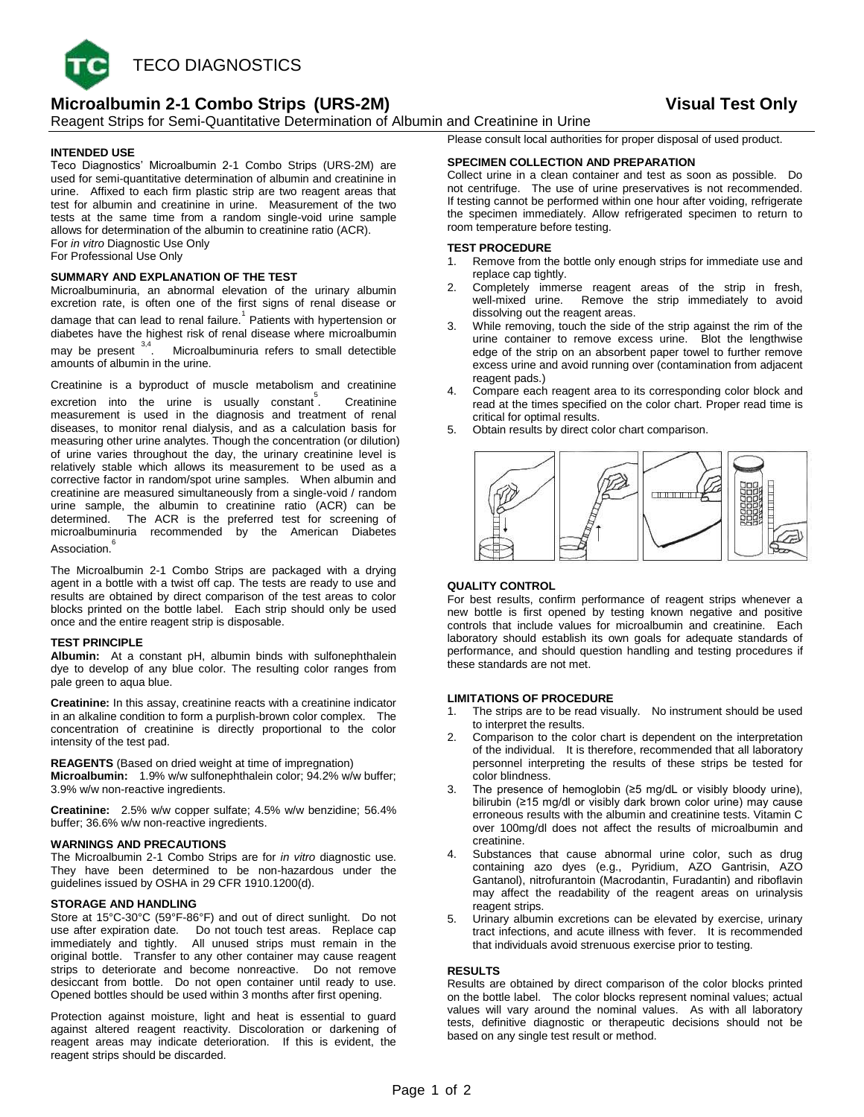

# **Microalbumin 2-1 Combo Strips (URS-2M) Visual Test Only**

Reagent Strips for Semi-Quantitative Determination of Albumin and Creatinine in Urine

# **INTENDED USE**

Teco Diagnostics' Microalbumin 2-1 Combo Strips (URS-2M) are used for semi-quantitative determination of albumin and creatinine in urine. Affixed to each firm plastic strip are two reagent areas that test for albumin and creatinine in urine. Measurement of the two tests at the same time from a random single-void urine sample allows for determination of the albumin to creatinine ratio (ACR). For *in vitro* Diagnostic Use Only For Professional Use Only

# **SUMMARY AND EXPLANATION OF THE TEST**

Microalbuminuria, an abnormal elevation of the urinary albumin excretion rate, is often one of the first signs of renal disease or damage that can lead to renal failure.<sup>1</sup> Patients with hypertension or diabetes have the highest risk of renal disease where microalbumin may be present <sup>3,4</sup>. Microalbuminuria refers to small detectible amounts of albumin in the urine.

Creatinine is a byproduct of muscle metabolism and creatinine excretion into the urine is usually constant<sup>5</sup> . Creatinine measurement is used in the diagnosis and treatment of renal diseases, to monitor renal dialysis, and as a calculation basis for measuring other urine analytes. Though the concentration (or dilution) of urine varies throughout the day, the urinary creatinine level is relatively stable which allows its measurement to be used as a corrective factor in random/spot urine samples. When albumin and creatinine are measured simultaneously from a single-void / random urine sample, the albumin to creatinine ratio (ACR) can be determined. The ACR is the preferred test for screening of microalbuminuria recommended by the American Diabetes Association. 6

The Microalbumin 2-1 Combo Strips are packaged with a drying agent in a bottle with a twist off cap. The tests are ready to use and results are obtained by direct comparison of the test areas to color blocks printed on the bottle label. Each strip should only be used once and the entire reagent strip is disposable.

# **TEST PRINCIPLE**

**Albumin:** At a constant pH, albumin binds with sulfonephthalein dye to develop of any blue color. The resulting color ranges from pale green to aqua blue.

**Creatinine:** In this assay, creatinine reacts with a creatinine indicator in an alkaline condition to form a purplish-brown color complex. The concentration of creatinine is directly proportional to the color intensity of the test pad.

**REAGENTS** (Based on dried weight at time of impregnation) **Microalbumin:** 1.9% w/w sulfonephthalein color; 94.2% w/w buffer; 3.9% w/w non-reactive ingredients.

**Creatinine:** 2.5% w/w copper sulfate; 4.5% w/w benzidine; 56.4% buffer; 36.6% w/w non-reactive ingredients.

# **WARNINGS AND PRECAUTIONS**

The Microalbumin 2-1 Combo Strips are for *in vitro* diagnostic use. They have been determined to be non-hazardous under the guidelines issued by OSHA in 29 CFR 1910.1200(d).

# **STORAGE AND HANDLING**

Store at 15°C-30°C (59°F-86°F) and out of direct sunlight. Do not use after expiration date. Do not touch test areas. Replace cap immediately and tightly. All unused strips must remain in the original bottle. Transfer to any other container may cause reagent strips to deteriorate and become nonreactive. Do not remove desiccant from bottle. Do not open container until ready to use. Opened bottles should be used within 3 months after first opening.

Protection against moisture, light and heat is essential to guard against altered reagent reactivity. Discoloration or darkening of reagent areas may indicate deterioration. If this is evident, the reagent strips should be discarded.

Please consult local authorities for proper disposal of used product.

# **SPECIMEN COLLECTION AND PREPARATION**

Collect urine in a clean container and test as soon as possible. Do not centrifuge. The use of urine preservatives is not recommended. If testing cannot be performed within one hour after voiding, refrigerate the specimen immediately. Allow refrigerated specimen to return to room temperature before testing.

### **TEST PROCEDURE**

- 1. Remove from the bottle only enough strips for immediate use and replace cap tightly.
- Completely immerse reagent areas of the strip in fresh, well-mixed urine. Remove the strip immediately to avoid dissolving out the reagent areas.
- While removing, touch the side of the strip against the rim of the urine container to remove excess urine. Blot the lengthwise edge of the strip on an absorbent paper towel to further remove excess urine and avoid running over (contamination from adjacent reagent pads.)
- 4. Compare each reagent area to its corresponding color block and read at the times specified on the color chart. Proper read time is critical for optimal results.
- 5. Obtain results by direct color chart comparison.



# **QUALITY CONTROL**

For best results, confirm performance of reagent strips whenever a new bottle is first opened by testing known negative and positive controls that include values for microalbumin and creatinine. Each laboratory should establish its own goals for adequate standards of performance, and should question handling and testing procedures if these standards are not met.

### **LIMITATIONS OF PROCEDURE**

- 1. The strips are to be read visually. No instrument should be used to interpret the results.
- 2. Comparison to the color chart is dependent on the interpretation of the individual. It is therefore, recommended that all laboratory personnel interpreting the results of these strips be tested for color blindness.
- 3. The presence of hemoglobin (≥5 mg/dL or visibly bloody urine), bilirubin (≥15 mg/dl or visibly dark brown color urine) may cause erroneous results with the albumin and creatinine tests. Vitamin C over 100mg/dl does not affect the results of microalbumin and creatinine.
- Substances that cause abnormal urine color, such as drug containing azo dyes (e.g., Pyridium, AZO Gantrisin, AZO Gantanol), nitrofurantoin (Macrodantin, Furadantin) and riboflavin may affect the readability of the reagent areas on urinalysis reagent strips.
- Urinary albumin excretions can be elevated by exercise, urinary tract infections, and acute illness with fever. It is recommended that individuals avoid strenuous exercise prior to testing.

### **RESULTS**

Results are obtained by direct comparison of the color blocks printed on the bottle label. The color blocks represent nominal values; actual values will vary around the nominal values. As with all laboratory tests, definitive diagnostic or therapeutic decisions should not be based on any single test result or method.